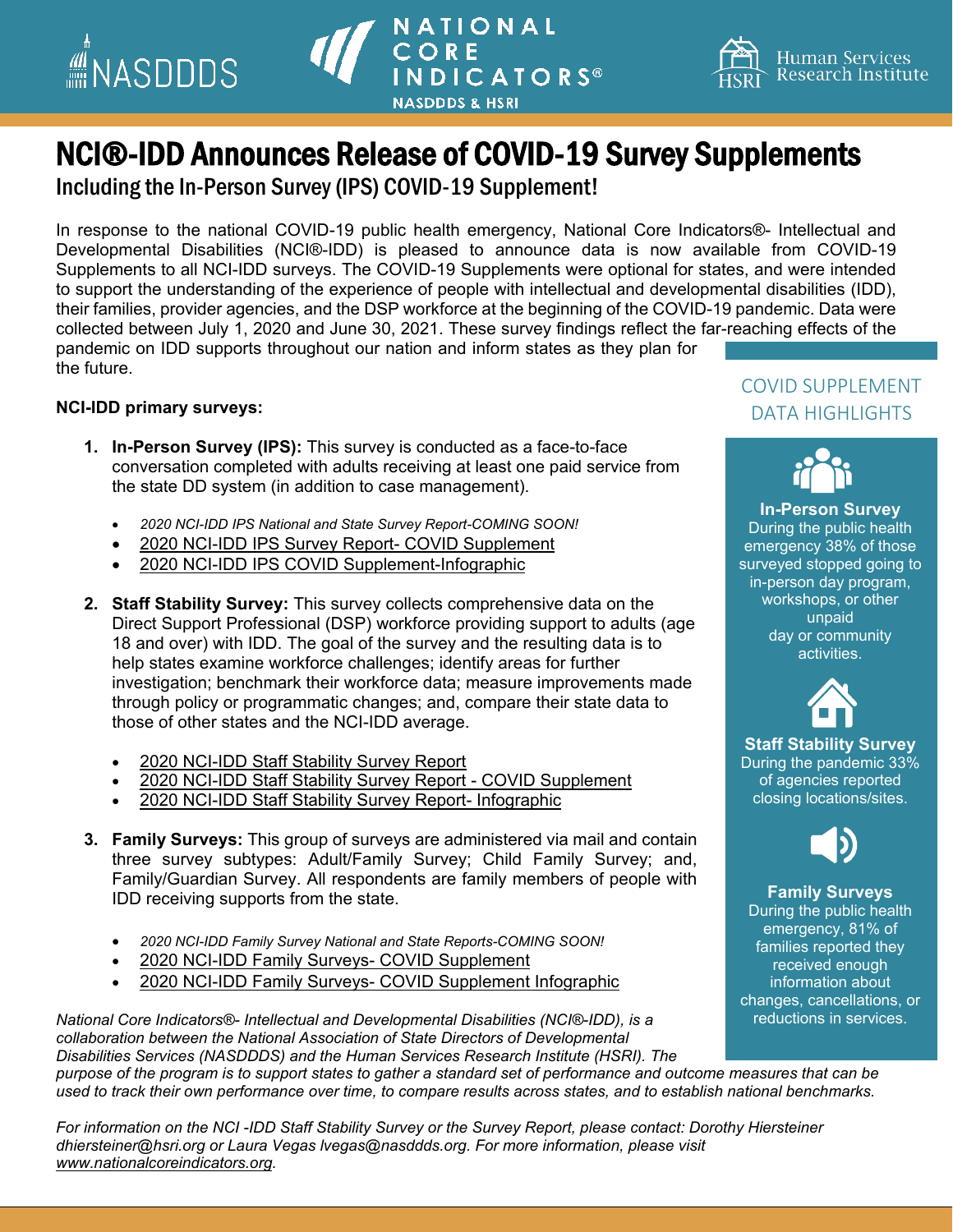

## NATIONAL<br>CORE **INDICATORS® NASDDDS & HSRI**



# **NCI®-IDD Announces Release of COVID-19 Survey Supplements**<br>Including the In-Person Survey (IPS) COVID-19 Supplement!

In response to the national COVID-19 public health emergency, National Core Indicators®- Intellectual and Developmental Disabilities (NCI®-IDD) is pleased to announce data is now available from COVID-19 Supplements to all NCI-IDD surveys. The COVID-19 Supplements were optional for states, and were intended to support the understanding of the experience of people with intellectual and developmental disabilities (IDD), their families, provider agencies, and the DSP workforce at the beginning of the COVID-19 pandemic. Data were collected between July 1, 2020 and June 30, 2021. These survey findings reflect the far-reaching effects of the pandemic on IDD supports throughout our nation and inform states as they plan for the future.

#### **NCI-IDD primary surveys:**

- **1. In-Person Survey (IPS):** This survey is conducted as a face-to-face conversation completed with adults receiving at least one paid service from the state DD system (in addition to case management).
	- *2020 NCI-IDD IPS National and State Survey Report-COMING SOON!*
	- [2020 NCI-IDD IPS Survey Report-](https://www.nationalcoreindicators.org/upload/core-indicators/2020-21_NCI-IDD_IPS_COVID_Supplement_Report.pdf) COVID Supplement
	- [2020 NCI-IDD IPS COVID Supplement-Infographic](https://www.nasddds.org/wp-content/uploads/2022/02/infographic-IPS-covid_FINAL.pdf)
- **2. Staff Stability Survey:** This survey collects comprehensive data on the Direct Support Professional (DSP) workforce providing support to adults (age 18 and over) with IDD. The goal of the survey and the resulting data is to help states examine workforce challenges; identify areas for further investigation; benchmark their workforce data; measure improvements made through policy or programmatic changes; and, compare their state data to those of other states and the NCI-IDD average.
	- [2020 NCI-IDD Staff Stability Survey Report](https://www.nationalcoreindicators.org/upload/core-indicators/2020StaffStabilitySurveyReport_FINAL.pdf)
	- [2020 NCI-IDD Staff Stability Survey Report -](https://www.nationalcoreindicators.org/upload/core-indicators/2020StaffStabilitySurveyReport_COVID_SUPPLEMENT_FINAL.pdf) COVID Supplement
	- [2020 NCI-IDD Staff Stability Survey Report-](https://www.nasddds.org/wp-content/uploads/2022/02/INFOGRAPHIC_SS2020.pdf?fbclid=IwAR0viXLCJF_MBOH-b_IIp8WypNuNsszIizgHILbRbF-OihR6hL6WigsQfWk) Infographic
- **3. Family Surveys:** This group of surveys are administered via mail and contain three survey subtypes: Adult/Family Survey; Child Family Survey; and, Family/Guardian Survey. All respondents are family members of people with IDD receiving supports from the state.
	- *2020 NCI-IDD Family Survey National and State Reports-COMING SOON!*
	- 2020 NCI-IDD Family Surveys- COVID [Supplement](https://www.nationalcoreindicators.org/upload/core-indicators/Family_Survey_COVID_Supplement_Report_Final_508.pdf)
	- 2020 NCI-IDD Family Surveys- COVID [Supplement](https://www.nasddds.org/wp-content/uploads/2022/02/family-survey-covid-supplement-infographics_FINAL-002.pdf) Infographic

*National Core Indicators®- Intellectual and Developmental Disabilities (NCI®-IDD), is a collaboration between the National Association of State Directors of Developmental Disabilities Services (NASDDDS) and the Human Services Research Institute (HSRI). The purpose of the program is to support states to gather a standard set of performance and outcome measures that can be used to track their own performance over time, to compare results across states, and to establish national benchmarks.*  reductions in services.

*For information on the NCI -IDD Staff Stability Survey or the Survey Report, please contact: Dorothy Hiersteiner dhiersteiner@hsri.org or Laura Vegas lvegas@nasddds.org. For more information, please visit [www.nationalcoreindicators.org.](http://www.nationalcoreindicators.org/)*

### COVID SUPPLEMENT DATA HIGHLIGHTS



**In-Person Survey** During the public health emergency 38% of those surveyed stopped going to in-person day program, workshops, or other unpaid day or community activities.



**Staff Stability Survey** During the pandemic 33% of agencies reported closing locations/sites.



**Family Surveys**

During the public health emergency, 81% of families reported they received enough information about changes, cancellations, or